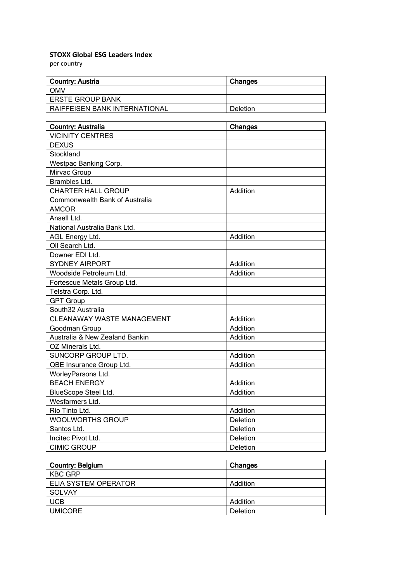## **STOXX Global ESG Leaders Index**

per country

| <b>Country: Austria</b>              | Changes  |
|--------------------------------------|----------|
| <b>OMV</b>                           |          |
| <b>ERSTE GROUP BANK</b>              |          |
| <b>RAIFFEISEN BANK INTERNATIONAL</b> | Deletion |

| Country: Australia             | Changes  |
|--------------------------------|----------|
| <b>VICINITY CENTRES</b>        |          |
| <b>DEXUS</b>                   |          |
| Stockland                      |          |
| Westpac Banking Corp.          |          |
| Mirvac Group                   |          |
| Brambles Ltd.                  |          |
| <b>CHARTER HALL GROUP</b>      | Addition |
| Commonwealth Bank of Australia |          |
| <b>AMCOR</b>                   |          |
| Ansell Ltd.                    |          |
| National Australia Bank Ltd.   |          |
| AGL Energy Ltd.                | Addition |
| Oil Search Ltd.                |          |
| Downer EDI Ltd.                |          |
| <b>SYDNEY AIRPORT</b>          | Addition |
| Woodside Petroleum Ltd.        | Addition |
| Fortescue Metals Group Ltd.    |          |
| Telstra Corp. Ltd.             |          |
| <b>GPT Group</b>               |          |
| South32 Australia              |          |
| CLEANAWAY WASTE MANAGEMENT     | Addition |
| Goodman Group                  | Addition |
| Australia & New Zealand Bankin | Addition |
| OZ Minerals Ltd.               |          |
| SUNCORP GROUP LTD.             | Addition |
| QBE Insurance Group Ltd.       | Addition |
| WorleyParsons Ltd.             |          |
| <b>BEACH ENERGY</b>            | Addition |
| BlueScope Steel Ltd.           | Addition |
| Wesfarmers Ltd.                |          |
| Rio Tinto Ltd.                 | Addition |
| <b>WOOLWORTHS GROUP</b>        | Deletion |
| Santos Ltd.                    | Deletion |
| Incitec Pivot Ltd.             | Deletion |
| <b>CIMIC GROUP</b>             | Deletion |

| <b>Country: Belgium</b> | Changes  |
|-------------------------|----------|
| <b>KBC GRP</b>          |          |
| ELIA SYSTEM OPERATOR    | Addition |
| SOLVAY                  |          |
| <b>UCB</b>              | Addition |
| <b>UMICORE</b>          | Deletion |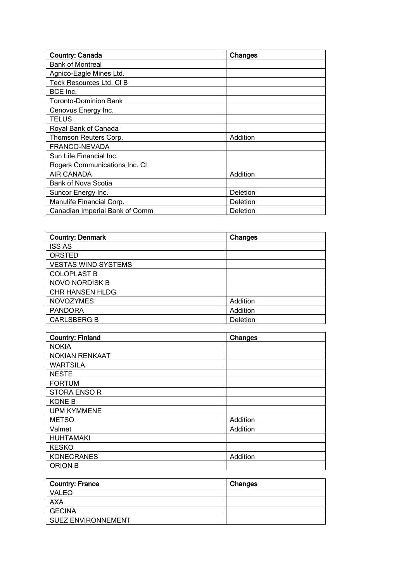| Country: Canada                | Changes  |
|--------------------------------|----------|
| <b>Bank of Montreal</b>        |          |
| Agnico-Eagle Mines Ltd.        |          |
| Teck Resources Ltd. CI B       |          |
| BCE Inc.                       |          |
| Toronto-Dominion Bank          |          |
| Cenovus Energy Inc.            |          |
| TELUS                          |          |
| Royal Bank of Canada           |          |
| Thomson Reuters Corp.          | Addition |
| FRANCO-NEVADA                  |          |
| Sun Life Financial Inc.        |          |
| Rogers Communications Inc. CI  |          |
| AIR CANADA                     | Addition |
| <b>Bank of Nova Scotia</b>     |          |
| Suncor Energy Inc.             | Deletion |
| Manulife Financial Corp.       | Deletion |
| Canadian Imperial Bank of Comm | Deletion |

| <b>Country: Denmark</b>    | Changes  |
|----------------------------|----------|
| <b>ISS AS</b>              |          |
| ORSTED                     |          |
| <b>VESTAS WIND SYSTEMS</b> |          |
| <b>COLOPLAST B</b>         |          |
| <b>NOVO NORDISK B</b>      |          |
| CHR HANSEN HLDG            |          |
| <b>NOVOZYMES</b>           | Addition |
| <b>PANDORA</b>             | Addition |
| <b>CARLSBERG B</b>         | Deletion |

| <b>Country: Finland</b> | Changes  |
|-------------------------|----------|
| <b>NOKIA</b>            |          |
| <b>NOKIAN RENKAAT</b>   |          |
| <b>WARTSILA</b>         |          |
| <b>NESTE</b>            |          |
| <b>FORTUM</b>           |          |
| <b>STORA ENSO R</b>     |          |
| <b>KONE B</b>           |          |
| <b>UPM KYMMENE</b>      |          |
| <b>METSO</b>            | Addition |
| Valmet                  | Addition |
| <b>HUHTAMAKI</b>        |          |
| <b>KESKO</b>            |          |
| <b>KONECRANES</b>       | Addition |
| <b>ORION B</b>          |          |

| Country: France    | Changes |
|--------------------|---------|
| <b>VALEO</b>       |         |
| AXA                |         |
| GECINA             |         |
| SUEZ ENVIRONNEMENT |         |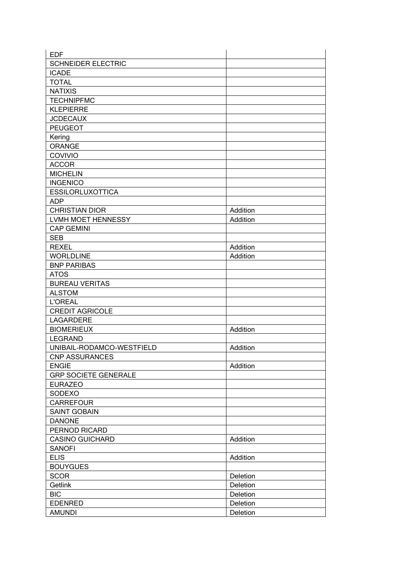| <b>EDF</b>                  |          |
|-----------------------------|----------|
| <b>SCHNEIDER ELECTRIC</b>   |          |
| <b>ICADE</b>                |          |
| <b>TOTAL</b>                |          |
| <b>NATIXIS</b>              |          |
| <b>TECHNIPFMC</b>           |          |
| <b>KLEPIERRE</b>            |          |
| <b>JCDECAUX</b>             |          |
| <b>PEUGEOT</b>              |          |
| Kering                      |          |
| <b>ORANGE</b>               |          |
| COVIVIO                     |          |
| <b>ACCOR</b>                |          |
| <b>MICHELIN</b>             |          |
|                             |          |
| <b>INGENICO</b>             |          |
| <b>ESSILORLUXOTTICA</b>     |          |
| <b>ADP</b>                  |          |
| <b>CHRISTIAN DIOR</b>       | Addition |
| LVMH MOET HENNESSY          | Addition |
| <b>CAP GEMINI</b>           |          |
| <b>SEB</b>                  |          |
| <b>REXEL</b>                | Addition |
| <b>WORLDLINE</b>            | Addition |
| <b>BNP PARIBAS</b>          |          |
| <b>ATOS</b>                 |          |
| <b>BUREAU VERITAS</b>       |          |
| <b>ALSTOM</b>               |          |
| <b>L'OREAL</b>              |          |
| <b>CREDIT AGRICOLE</b>      |          |
| LAGARDERE                   |          |
| <b>BIOMERIEUX</b>           | Addition |
| <b>LEGRAND</b>              |          |
| UNIBAIL-RODAMCO-WESTFIELD   | Addition |
| <b>CNP ASSURANCES</b>       |          |
| <b>ENGIE</b>                | Addition |
| <b>GRP SOCIETE GENERALE</b> |          |
| <b>EURAZEO</b>              |          |
| SODEXO                      |          |
| CARREFOUR                   |          |
| <b>SAINT GOBAIN</b>         |          |
| <b>DANONE</b>               |          |
| PERNOD RICARD               |          |
| <b>CASINO GUICHARD</b>      | Addition |
| <b>SANOFI</b>               |          |
| <b>ELIS</b>                 | Addition |
| <b>BOUYGUES</b>             |          |
|                             |          |
| <b>SCOR</b>                 | Deletion |
| Getlink                     | Deletion |
| <b>BIC</b>                  | Deletion |
| <b>EDENRED</b>              | Deletion |
| <b>AMUNDI</b>               | Deletion |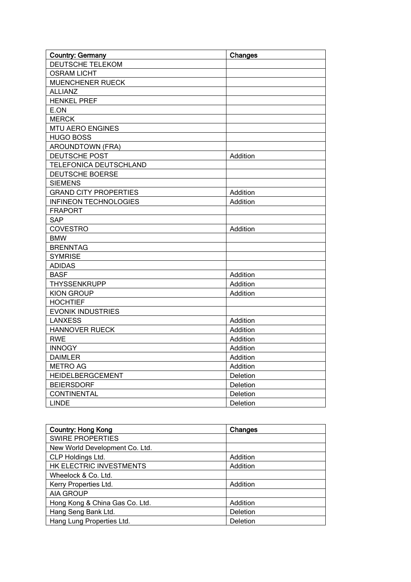| <b>Country: Germany</b>      | Changes  |
|------------------------------|----------|
| <b>DEUTSCHE TELEKOM</b>      |          |
| <b>OSRAM LICHT</b>           |          |
| <b>MUENCHENER RUECK</b>      |          |
| <b>ALLIANZ</b>               |          |
| <b>HENKEL PREF</b>           |          |
| E.ON                         |          |
| <b>MERCK</b>                 |          |
| <b>MTU AERO ENGINES</b>      |          |
| <b>HUGO BOSS</b>             |          |
| <b>AROUNDTOWN (FRA)</b>      |          |
| DEUTSCHE POST                | Addition |
| TELEFONICA DEUTSCHLAND       |          |
| <b>DEUTSCHE BOERSE</b>       |          |
| <b>SIEMENS</b>               |          |
| <b>GRAND CITY PROPERTIES</b> | Addition |
| <b>INFINEON TECHNOLOGIES</b> | Addition |
| <b>FRAPORT</b>               |          |
| <b>SAP</b>                   |          |
| <b>COVESTRO</b>              | Addition |
| <b>BMW</b>                   |          |
| <b>BRENNTAG</b>              |          |
| <b>SYMRISE</b>               |          |
| <b>ADIDAS</b>                |          |
| <b>BASF</b>                  | Addition |
| <b>THYSSENKRUPP</b>          | Addition |
| <b>KION GROUP</b>            | Addition |
| <b>HOCHTIEF</b>              |          |
| <b>EVONIK INDUSTRIES</b>     |          |
| <b>LANXESS</b>               | Addition |
| <b>HANNOVER RUECK</b>        | Addition |
| <b>RWE</b>                   | Addition |
| <b>INNOGY</b>                | Addition |
| <b>DAIMLER</b>               | Addition |
| <b>METRO AG</b>              | Addition |
| HEIDELBERGCEMENT             | Deletion |
| <b>BEIERSDORF</b>            | Deletion |
| <b>CONTINENTAL</b>           | Deletion |
| <b>LINDE</b>                 | Deletion |

| <b>Country: Hong Kong</b>      | Changes  |  |
|--------------------------------|----------|--|
| <b>SWIRE PROPERTIES</b>        |          |  |
| New World Development Co. Ltd. |          |  |
| CLP Holdings Ltd.              | Addition |  |
| HK ELECTRIC INVESTMENTS        | Addition |  |
| Wheelock & Co. Ltd.            |          |  |
| Kerry Properties Ltd.          | Addition |  |
| AIA GROUP                      |          |  |
| Hong Kong & China Gas Co. Ltd. | Addition |  |
| Hang Seng Bank Ltd.            | Deletion |  |
| Hang Lung Properties Ltd.      | Deletion |  |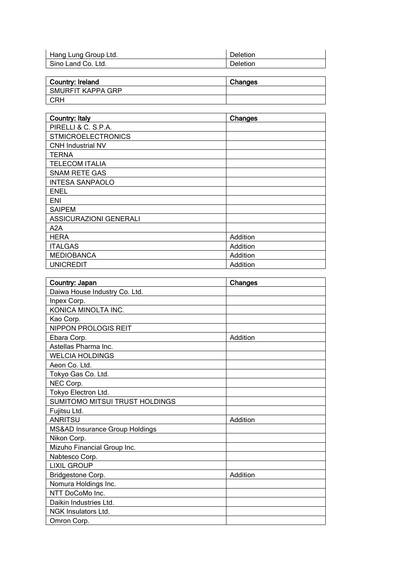| Hang Lung Group Ltd. | Deletion |
|----------------------|----------|
| l Sino Land Co. Ltd. | Deletion |

| <b>Country: Ireland</b> | Changes |
|-------------------------|---------|
| SMURFIT KAPPA GRP       |         |
| <b>CRH</b>              |         |

| <b>Country: Italy</b>         | Changes  |
|-------------------------------|----------|
| PIRELLI & C. S.P.A.           |          |
| <b>STMICROELECTRONICS</b>     |          |
| <b>CNH Industrial NV</b>      |          |
| TERNA                         |          |
| <b>TELECOM ITALIA</b>         |          |
| <b>SNAM RETE GAS</b>          |          |
| <b>INTESA SANPAOLO</b>        |          |
| <b>ENEL</b>                   |          |
| ENI                           |          |
| <b>SAIPEM</b>                 |          |
| <b>ASSICURAZIONI GENERALI</b> |          |
| A2A                           |          |
| <b>HERA</b>                   | Addition |
| <b>ITALGAS</b>                | Addition |
| <b>MEDIOBANCA</b>             | Addition |
| <b>UNICREDIT</b>              | Addition |

| Country: Japan                 | Changes  |
|--------------------------------|----------|
| Daiwa House Industry Co. Ltd.  |          |
| Inpex Corp.                    |          |
| KONICA MINOLTA INC.            |          |
| Kao Corp.                      |          |
| NIPPON PROLOGIS REIT           |          |
| Ebara Corp.                    | Addition |
| Astellas Pharma Inc.           |          |
| <b>WELCIA HOLDINGS</b>         |          |
| Aeon Co. Ltd.                  |          |
| Tokyo Gas Co. Ltd.             |          |
| NEC Corp.                      |          |
| Tokyo Electron Ltd.            |          |
| SUMITOMO MITSUI TRUST HOLDINGS |          |
| Fujitsu Ltd.                   |          |
| <b>ANRITSU</b>                 | Addition |
| MS&AD Insurance Group Holdings |          |
| Nikon Corp.                    |          |
| Mizuho Financial Group Inc.    |          |
| Nabtesco Corp.                 |          |
| <b>LIXIL GROUP</b>             |          |
| Bridgestone Corp.              | Addition |
| Nomura Holdings Inc.           |          |
| NTT DoCoMo Inc.                |          |
| Daikin Industries Ltd.         |          |
| NGK Insulators Ltd.            |          |
| Omron Corp.                    |          |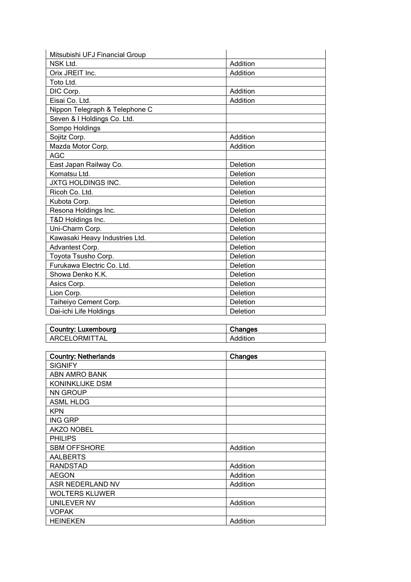| Mitsubishi UFJ Financial Group |          |
|--------------------------------|----------|
| NSK Ltd.                       | Addition |
| Orix JREIT Inc.                | Addition |
| Toto Ltd.                      |          |
| DIC Corp.                      | Addition |
| Eisai Co. Ltd.                 | Addition |
| Nippon Telegraph & Telephone C |          |
| Seven & I Holdings Co. Ltd.    |          |
| Sompo Holdings                 |          |
| Sojitz Corp.                   | Addition |
| Mazda Motor Corp.              | Addition |
| <b>AGC</b>                     |          |
| East Japan Railway Co.         | Deletion |
| Komatsu Ltd.                   | Deletion |
| JXTG HOLDINGS INC.             | Deletion |
| Ricoh Co. Ltd.                 | Deletion |
| Kubota Corp.                   | Deletion |
| Resona Holdings Inc.           | Deletion |
| T&D Holdings Inc.              | Deletion |
| Uni-Charm Corp.                | Deletion |
| Kawasaki Heavy Industries Ltd. | Deletion |
| Advantest Corp.                | Deletion |
| Toyota Tsusho Corp.            | Deletion |
| Furukawa Electric Co. Ltd.     | Deletion |
| Showa Denko K.K.               | Deletion |
| Asics Corp.                    | Deletion |
| Lion Corp.                     | Deletion |
| Taiheiyo Cement Corp.          | Deletion |
| Dai-ichi Life Holdings         | Deletion |

| Country: Luxembourg | Changes  |
|---------------------|----------|
| ARCELORMITTAL       | Addition |

| <b>Country: Netherlands</b> | Changes  |
|-----------------------------|----------|
| <b>SIGNIFY</b>              |          |
| ABN AMRO BANK               |          |
| <b>KONINKLIJKE DSM</b>      |          |
| <b>NN GROUP</b>             |          |
| <b>ASML HLDG</b>            |          |
| <b>KPN</b>                  |          |
| <b>ING GRP</b>              |          |
| <b>AKZO NOBEL</b>           |          |
| <b>PHILIPS</b>              |          |
| <b>SBM OFFSHORE</b>         | Addition |
| <b>AALBERTS</b>             |          |
| <b>RANDSTAD</b>             | Addition |
| <b>AEGON</b>                | Addition |
| ASR NEDERLAND NV            | Addition |
| <b>WOLTERS KLUWER</b>       |          |
| UNILEVER NV                 | Addition |
| <b>VOPAK</b>                |          |
| <b>HEINEKEN</b>             | Addition |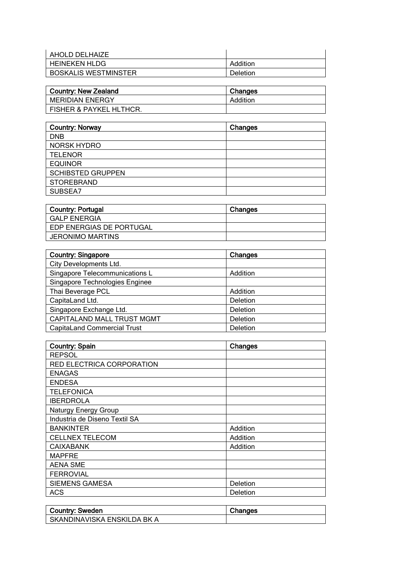| AHOLD DELHAIZE       |          |
|----------------------|----------|
| l HEINEKEN HLDG      | Addition |
| BOSKALIS WESTMINSTER | Deletion |

| <b>Country: New Zealand</b> | Changes  |
|-----------------------------|----------|
| <b>MERIDIAN ENERGY</b>      | Addition |
| FISHER & PAYKEL HLTHCR.     |          |

| <b>Country: Norway</b>   | Changes |
|--------------------------|---------|
| <b>DNB</b>               |         |
| <b>NORSK HYDRO</b>       |         |
| <b>TELENOR</b>           |         |
| <b>EQUINOR</b>           |         |
| <b>SCHIBSTED GRUPPEN</b> |         |
| <b>STOREBRAND</b>        |         |
| SUBSEA7                  |         |

| <b>Country: Portugal</b> | <b>Changes</b> |
|--------------------------|----------------|
| l GALP ENERGIA           |                |
| EDP ENERGIAS DE PORTUGAL |                |
| <b>JERONIMO MARTINS</b>  |                |

| <b>Country: Singapore</b>          | Changes  |
|------------------------------------|----------|
| City Developments Ltd.             |          |
| Singapore Telecommunications L     | Addition |
| Singapore Technologies Enginee     |          |
| Thai Beverage PCL                  | Addition |
| CapitaLand Ltd.                    | Deletion |
| Singapore Exchange Ltd.            | Deletion |
| CAPITALAND MALL TRUST MGMT         | Deletion |
| <b>CapitaLand Commercial Trust</b> | Deletion |

| <b>Country: Spain</b>         | Changes  |
|-------------------------------|----------|
| <b>REPSOL</b>                 |          |
| RED ELECTRICA CORPORATION     |          |
| <b>ENAGAS</b>                 |          |
| <b>ENDESA</b>                 |          |
| <b>TELEFONICA</b>             |          |
| <b>IBERDROLA</b>              |          |
| Naturgy Energy Group          |          |
| Industria de Diseno Textil SA |          |
| <b>BANKINTER</b>              | Addition |
| <b>CELLNEX TELECOM</b>        | Addition |
| <b>CAIXABANK</b>              | Addition |
| <b>MAPFRE</b>                 |          |
| <b>AENA SME</b>               |          |
| <b>FERROVIAL</b>              |          |
| <b>SIEMENS GAMESA</b>         | Deletion |
| <b>ACS</b>                    | Deletion |

| Country: Sweden             | Changes |
|-----------------------------|---------|
| SKANDINAVISKA ENSKILDA BK A |         |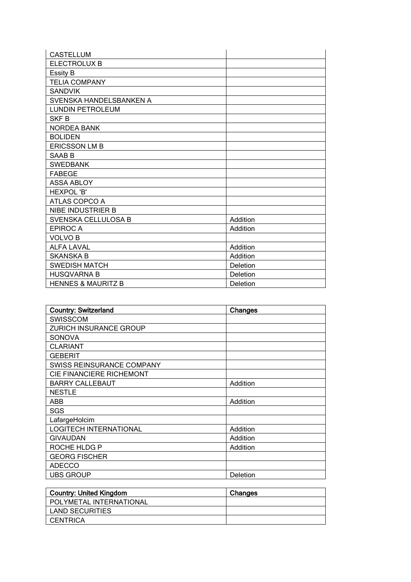| <b>CASTELLUM</b>              |          |
|-------------------------------|----------|
| <b>ELECTROLUX B</b>           |          |
| <b>Essity B</b>               |          |
| <b>TELIA COMPANY</b>          |          |
| <b>SANDVIK</b>                |          |
| SVENSKA HANDELSBANKEN A       |          |
| <b>LUNDIN PETROLEUM</b>       |          |
| SKF B                         |          |
| <b>NORDEA BANK</b>            |          |
| <b>BOLIDEN</b>                |          |
| <b>ERICSSON LM B</b>          |          |
| SAAB B                        |          |
| <b>SWEDBANK</b>               |          |
| <b>FABEGE</b>                 |          |
| <b>ASSA ABLOY</b>             |          |
| <b>HEXPOL'B'</b>              |          |
| ATLAS COPCO A                 |          |
| NIBE INDUSTRIER B             |          |
| SVENSKA CELLULOSA B           | Addition |
| <b>EPIROCA</b>                | Addition |
| <b>VOLVO B</b>                |          |
| <b>ALFA LAVAL</b>             | Addition |
| <b>SKANSKA B</b>              | Addition |
| <b>SWEDISH MATCH</b>          | Deletion |
| <b>HUSQVARNA B</b>            | Deletion |
| <b>HENNES &amp; MAURITZ B</b> | Deletion |

| <b>Country: Switzerland</b>      | Changes  |
|----------------------------------|----------|
| <b>SWISSCOM</b>                  |          |
| ZURICH INSURANCE GROUP           |          |
| <b>SONOVA</b>                    |          |
| <b>CLARIANT</b>                  |          |
| <b>GEBERIT</b>                   |          |
| <b>SWISS REINSURANCE COMPANY</b> |          |
| CIE FINANCIERE RICHEMONT         |          |
| <b>BARRY CALLEBAUT</b>           | Addition |
| <b>NESTLE</b>                    |          |
| ABB                              | Addition |
| SGS                              |          |
| LafargeHolcim                    |          |
| <b>LOGITECH INTERNATIONAL</b>    | Addition |
| <b>GIVAUDAN</b>                  | Addition |
| ROCHE HLDG P                     | Addition |
| <b>GEORG FISCHER</b>             |          |
| <b>ADECCO</b>                    |          |
| <b>UBS GROUP</b>                 | Deletion |

| <b>Country: United Kingdom</b> | Changes |
|--------------------------------|---------|
| POLYMETAL INTERNATIONAL        |         |
| LAND SECURITIES                |         |
| CENTRICA                       |         |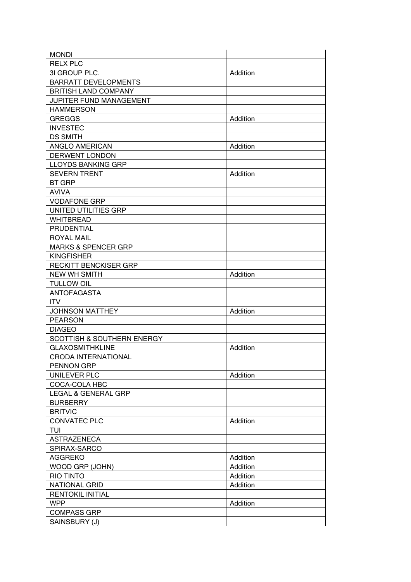| <b>MONDI</b>                                        |          |
|-----------------------------------------------------|----------|
| <b>RELX PLC</b>                                     |          |
| 3I GROUP PLC.                                       | Addition |
| <b>BARRATT DEVELOPMENTS</b>                         |          |
| <b>BRITISH LAND COMPANY</b>                         |          |
| <b>JUPITER FUND MANAGEMENT</b>                      |          |
| <b>HAMMERSON</b>                                    |          |
| <b>GREGGS</b>                                       | Addition |
| <b>INVESTEC</b>                                     |          |
| <b>DS SMITH</b>                                     |          |
| ANGLO AMERICAN                                      | Addition |
| <b>DERWENT LONDON</b>                               |          |
| <b>LLOYDS BANKING GRP</b>                           |          |
| <b>SEVERN TRENT</b>                                 | Addition |
| <b>BT GRP</b>                                       |          |
| <b>AVIVA</b>                                        |          |
| <b>VODAFONE GRP</b>                                 |          |
| UNITED UTILITIES GRP                                |          |
| <b>WHITBREAD</b>                                    |          |
| <b>PRUDENTIAL</b>                                   |          |
|                                                     |          |
| <b>ROYAL MAIL</b><br><b>MARKS &amp; SPENCER GRP</b> |          |
| <b>KINGFISHER</b>                                   |          |
|                                                     |          |
| <b>RECKITT BENCKISER GRP</b>                        |          |
| <b>NEW WH SMITH</b>                                 | Addition |
| <b>TULLOW OIL</b>                                   |          |
| <b>ANTOFAGASTA</b>                                  |          |
| <b>ITV</b>                                          |          |
| <b>JOHNSON MATTHEY</b>                              | Addition |
| <b>PEARSON</b>                                      |          |
| <b>DIAGEO</b>                                       |          |
| SCOTTISH & SOUTHERN ENERGY                          |          |
| <b>GLAXOSMITHKLINE</b>                              | Addition |
| <b>CRODA INTERNATIONAL</b>                          |          |
| PENNON GRP                                          |          |
| <b>UNILEVER PLC</b>                                 | Addition |
| COCA-COLA HBC                                       |          |
| <b>LEGAL &amp; GENERAL GRP</b>                      |          |
| <b>BURBERRY</b>                                     |          |
| <b>BRITVIC</b>                                      |          |
| <b>CONVATEC PLC</b>                                 | Addition |
| TUI                                                 |          |
| <b>ASTRAZENECA</b>                                  |          |
| SPIRAX-SARCO                                        |          |
| <b>AGGREKO</b>                                      | Addition |
| WOOD GRP (JOHN)                                     | Addition |
| <b>RIO TINTO</b>                                    | Addition |
| <b>NATIONAL GRID</b>                                | Addition |
| <b>RENTOKIL INITIAL</b>                             |          |
| <b>WPP</b>                                          | Addition |
| <b>COMPASS GRP</b>                                  |          |
| SAINSBURY (J)                                       |          |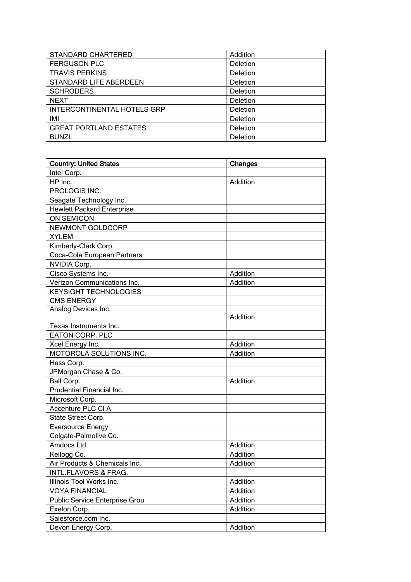| <b>STANDARD CHARTERED</b>     | Addition |
|-------------------------------|----------|
| <b>FERGUSON PLC</b>           | Deletion |
| <b>TRAVIS PERKINS</b>         | Deletion |
| STANDARD LIFE ABERDEEN        | Deletion |
| <b>SCHRODERS</b>              | Deletion |
| <b>NEXT</b>                   | Deletion |
| INTERCONTINENTAL HOTELS GRP   | Deletion |
| IMI                           | Deletion |
| <b>GREAT PORTLAND ESTATES</b> | Deletion |
| <b>BUNZL</b>                  | Deletion |

| <b>Country: United States</b>     | Changes  |
|-----------------------------------|----------|
| Intel Corp.                       |          |
| HP Inc.                           | Addition |
| PROLOGIS INC.                     |          |
| Seagate Technology Inc.           |          |
| <b>Hewlett Packard Enterprise</b> |          |
| ON SEMICON.                       |          |
| NEWMONT GOLDCORP                  |          |
| <b>XYLEM</b>                      |          |
| Kimberly-Clark Corp.              |          |
| Coca-Cola European Partners       |          |
| NVIDIA Corp.                      |          |
| Cisco Systems Inc.                | Addition |
| Verizon Communications Inc.       | Addition |
| <b>KEYSIGHT TECHNOLOGIES</b>      |          |
| <b>CMS ENERGY</b>                 |          |
| Analog Devices Inc.               |          |
|                                   | Addition |
| Texas Instruments Inc.            |          |
| <b>EATON CORP. PLC</b>            |          |
| Xcel Energy Inc.                  | Addition |
| MOTOROLA SOLUTIONS INC.           | Addition |
| Hess Corp.                        |          |
| JPMorgan Chase & Co.              |          |
| Ball Corp.                        | Addition |
| Prudential Financial Inc.         |          |
| Microsoft Corp.                   |          |
| Accenture PLC CI A                |          |
| State Street Corp.                |          |
| <b>Eversource Energy</b>          |          |
| Colgate-Palmolive Co.             |          |
| Amdocs Ltd.                       | Addition |
| Kellogg Co.                       | Addition |
| Air Products & Chemicals Inc.     | Addition |
| <b>INTL.FLAVORS &amp; FRAG.</b>   |          |
| Illinois Tool Works Inc.          | Addition |
| <b>VOYA FINANCIAL</b>             | Addition |
| Public Service Enterprise Grou    | Addition |
| Exelon Corp.                      | Addition |
| Salesforce.com Inc.               |          |
| Devon Energy Corp.                | Addition |